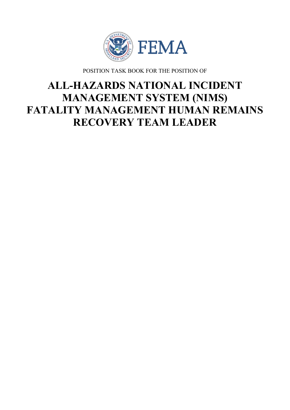

POSITION TASK BOOK FOR THE POSITION OF

# **ALL-HAZARDS NATIONAL INCIDENT MANAGEMENT SYSTEM (NIMS) FATALITY MANAGEMENT HUMAN REMAINS RECOVERY TEAM LEADER**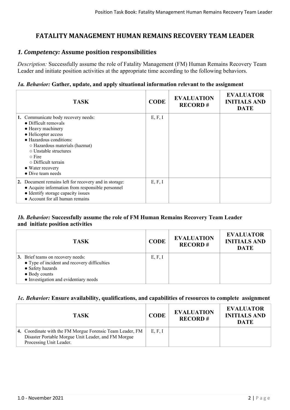# **FATALITY MANAGEMENT HUMAN REMAINS RECOVERY TEAM LEADER**

## *1. Competency:* **Assume position responsibilities**

*Description:* Successfully assume the role of Fatality Management (FM) Human Remains Recovery Team Leader and initiate position activities at the appropriate time according to the following behaviors.

#### *1a. Behavior:* **Gather, update, and apply situational information relevant to the assignment**

| <b>TASK</b>                                                                                                                                                                                                                                                                                 | <b>CODE</b> | <b>EVALUATION</b><br><b>RECORD#</b> | <b>EVALUATOR</b><br><b>INITIALS AND</b><br><b>DATE</b> |
|---------------------------------------------------------------------------------------------------------------------------------------------------------------------------------------------------------------------------------------------------------------------------------------------|-------------|-------------------------------------|--------------------------------------------------------|
| 1. Communicate body recovery needs:<br>$\bullet$ Difficult removals<br>• Heavy machinery<br>• Helicopter access<br>· Hazardous conditions:<br>○ Hazardous materials (hazmat)<br>○ Unstable structures<br>$\circ$ Fire<br>$\circ$ Difficult terrain<br>• Water recovery<br>• Dive team needs | E, F, I     |                                     |                                                        |
| 2. Document remains left for recovery and in storage:<br>• Acquire information from responsible personnel<br>• Identify storage capacity issues<br>• Account for all human remains                                                                                                          | E, F, I     |                                     |                                                        |

#### *1b. Behavior:* **Successfully assume the role of FM Human Remains Recovery Team Leader and initiate position activities**

| <b>TASK</b>                                                                                                                                                     | <b>CODE</b> | <b>EVALUATION</b><br><b>RECORD#</b> | <b>EVALUATOR</b><br><b>INITIALS AND</b><br><b>DATE</b> |
|-----------------------------------------------------------------------------------------------------------------------------------------------------------------|-------------|-------------------------------------|--------------------------------------------------------|
| 3. Brief teams on recovery needs:<br>• Type of incident and recovery difficulties<br>• Safety hazards<br>• Body counts<br>• Investigation and evidentiary needs | E, F, I     |                                     |                                                        |

#### *1c. Behavior:* **Ensure availability, qualifications, and capabilities of resources to complete assignment**

| <b>TASK</b>                                                                                                                                 | <b>CODE</b> | <b>EVALUATION</b><br><b>RECORD#</b> | <b>EVALUATOR</b><br><b>INITIALS AND</b><br>DATE |
|---------------------------------------------------------------------------------------------------------------------------------------------|-------------|-------------------------------------|-------------------------------------------------|
| 4. Coordinate with the FM Morgue Forensic Team Leader, FM<br>Disaster Portable Morgue Unit Leader, and FM Morgue<br>Processing Unit Leader. | E, F, I     |                                     |                                                 |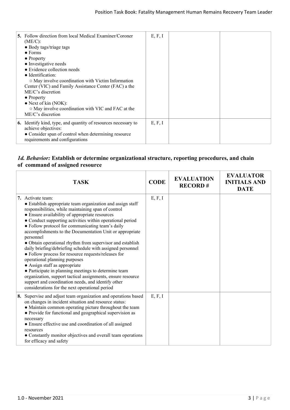| <b>5.</b> Follow direction from local Medical Examiner/Coroner<br>$(ME/C)$ :<br>• Body tags/triage tags<br>$\bullet$ Forms<br>$\bullet$ Property<br>• Investigative needs<br>• Evidence collection needs<br>• Identification:<br>○ May involve coordination with Victim Information<br>Center (VIC) and Family Assistance Center (FAC) a the<br>ME/C's discretion<br>$\bullet$ Property<br>$\bullet$ Next of kin (NOK):<br>o May involve coordination with VIC and FAC at the<br>ME/C's discretion | E, F, I |  |
|----------------------------------------------------------------------------------------------------------------------------------------------------------------------------------------------------------------------------------------------------------------------------------------------------------------------------------------------------------------------------------------------------------------------------------------------------------------------------------------------------|---------|--|
| <b>6.</b> Identify kind, type, and quantity of resources necessary to<br>achieve objectives:<br>• Consider span of control when determining resource<br>requirements and configurations                                                                                                                                                                                                                                                                                                            | E, F, I |  |

## *1d. Behavior:* **Establish or determine organizational structure, reporting procedures, and chain of command of assigned resource**

| <b>TASK</b>                                                                                                                                                                                                                                                                                                                                                                                                                                                                                                                                                                                                                                                                                                                                                                                                                                                           | <b>CODE</b> | <b>EVALUATION</b><br><b>RECORD#</b> | <b>EVALUATOR</b><br><b>INITIALS AND</b><br><b>DATE</b> |
|-----------------------------------------------------------------------------------------------------------------------------------------------------------------------------------------------------------------------------------------------------------------------------------------------------------------------------------------------------------------------------------------------------------------------------------------------------------------------------------------------------------------------------------------------------------------------------------------------------------------------------------------------------------------------------------------------------------------------------------------------------------------------------------------------------------------------------------------------------------------------|-------------|-------------------------------------|--------------------------------------------------------|
| 7. Activate team:<br>• Establish appropriate team organization and assign staff<br>responsibilities, while maintaining span of control<br>• Ensure availability of appropriate resources<br>• Conduct supporting activities within operational period<br>• Follow protocol for communicating team's daily<br>accomplishments to the Documentation Unit or appropriate<br>personnel<br>• Obtain operational rhythm from supervisor and establish<br>daily briefing/debriefing schedule with assigned personnel<br>• Follow process for resource requests/releases for<br>operational planning purposes<br>• Assign staff as appropriate<br>• Participate in planning meetings to determine team<br>organization, support tactical assignments, ensure resource<br>support and coordination needs, and identify other<br>considerations for the next operational period | E, F, I     |                                     |                                                        |
| 8. Supervise and adjust team organization and operations based<br>on changes in incident situation and resource status:<br>• Maintain common operating picture throughout the team<br>• Provide for functional and geographical supervision as<br>necessary<br>• Ensure effective use and coordination of all assigned<br>resources<br>• Constantly monitor objectives and overall team operations<br>for efficacy and safety                                                                                                                                                                                                                                                                                                                                                                                                                                         | E, F, I     |                                     |                                                        |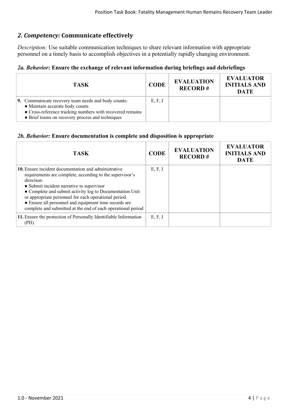# *2. Competency:* **Communicate effectively**

*Description:* Use suitable communication techniques to share relevant information with appropriate personnel on a timely basis to accomplish objectives in a potentially rapidly changing environment.

## *2a. Behavior:* **Ensure the exchange of relevant information during briefings and debriefings**

| <b>TASK</b>                                                                                                                                                                                             | <b>CODE</b> | <b>EVALUATION</b><br><b>RECORD#</b> | <b>EVALUATOR</b><br><b>INITIALS AND</b><br><b>DATE</b> |
|---------------------------------------------------------------------------------------------------------------------------------------------------------------------------------------------------------|-------------|-------------------------------------|--------------------------------------------------------|
| 9. Communicate recovery team needs and body counts:<br>• Maintain accurate body counts<br>• Cross-reference tracking numbers with recovered remains<br>• Brief teams on recovery process and techniques | E, F, I     |                                     |                                                        |

#### *2b. Behavior:* **Ensure documentation is complete and disposition is appropriate**

| <b>TASK</b>                                                                                                                                                                                                                                                                                                                                                                                                                     | <b>CODE</b> | <b>EVALUATION</b><br><b>RECORD#</b> | <b>EVALUATOR</b><br><b>INITIALS AND</b><br><b>DATE</b> |
|---------------------------------------------------------------------------------------------------------------------------------------------------------------------------------------------------------------------------------------------------------------------------------------------------------------------------------------------------------------------------------------------------------------------------------|-------------|-------------------------------------|--------------------------------------------------------|
| <b>10.</b> Ensure incident documentation and administrative<br>requirements are complete, according to the supervisor's<br>direction:<br>• Submit incident narrative to supervisor<br>• Complete and submit activity log to Documentation Unit<br>or appropriate personnel for each operational period<br>• Ensure all personnel and equipment time records are<br>complete and submitted at the end of each operational period | E, F, I     |                                     |                                                        |
| 11. Ensure the protection of Personally Identifiable Information<br>(PII).                                                                                                                                                                                                                                                                                                                                                      | E, F, I     |                                     |                                                        |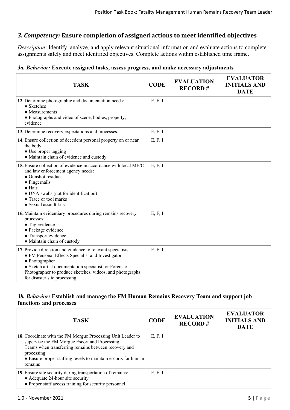# *3. Competency:* **Ensure completion of assigned actions to meet identified objectives**

*Description:* Identify, analyze, and apply relevant situational information and evaluate actions to complete assignments safely and meet identified objectives. Complete actions within established time frame.

## *3a. Behavior:* **Execute assigned tasks, assess progress, and make necessary adjustments**

| <b>TASK</b>                                                                                                                                                                                                                                                                              | <b>CODE</b> | <b>EVALUATION</b><br><b>RECORD#</b> | <b>EVALUATOR</b><br><b>INITIALS AND</b><br><b>DATE</b> |
|------------------------------------------------------------------------------------------------------------------------------------------------------------------------------------------------------------------------------------------------------------------------------------------|-------------|-------------------------------------|--------------------------------------------------------|
| 12. Determine photographic and documentation needs:<br>$\bullet$ Sketches<br>$\bullet$ Measurements<br>• Photographs and video of scene, bodies, property,<br>evidence                                                                                                                   | E, F, I     |                                     |                                                        |
| 13. Determine recovery expectations and processes.                                                                                                                                                                                                                                       | E, F, I     |                                     |                                                        |
| 14. Ensure collection of decedent personal property on or near<br>the body:<br>• Use proper tagging<br>• Maintain chain of evidence and custody                                                                                                                                          | E, F, I     |                                     |                                                        |
| 15. Ensure collection of evidence in accordance with local ME/C<br>and law enforcement agency needs:<br>• Gunshot residue<br>$\bullet$ Fingernails<br>$\bullet$ Hair<br>• DNA swabs (not for identification)<br>• Trace or tool marks<br>• Sexual assault kits                           | E, F, I     |                                     |                                                        |
| 16. Maintain evidentiary procedures during remains recovery<br>processes:<br>• Tag evidence<br>• Package evidence<br>• Transport evidence<br>· Maintain chain of custody                                                                                                                 | E, F, I     |                                     |                                                        |
| 17. Provide direction and guidance to relevant specialists:<br>• FM Personal Effects Specialist and Investigator<br>• Photographer<br>• Sketch artist documentation specialist, or Forensic<br>Photographer to produce sketches, videos, and photographs<br>for disaster site processing | E, F, I     |                                     |                                                        |

# *3b. Behavior:* **Establish and manage the FM Human Remains Recovery Team and support job functions and processes**

| <b>TASK</b>                                                                                                                                                                                                                                                     | <b>CODE</b> | <b>EVALUATION</b><br><b>RECORD#</b> | <b>EVALUATOR</b><br><b>INITIALS AND</b><br><b>DATE</b> |
|-----------------------------------------------------------------------------------------------------------------------------------------------------------------------------------------------------------------------------------------------------------------|-------------|-------------------------------------|--------------------------------------------------------|
| 18. Coordinate with the FM Morgue Processing Unit Leader to<br>supervise the FM Morgue Escort and Processing<br>Teams when transferring remains between recovery and<br>processing:<br>• Ensure proper staffing levels to maintain escorts for human<br>remains | E, F, I     |                                     |                                                        |
| 19. Ensure site security during transportation of remains:<br>• Adequate 24-hour site security<br>• Proper staff access training for security personnel                                                                                                         | E, F, I     |                                     |                                                        |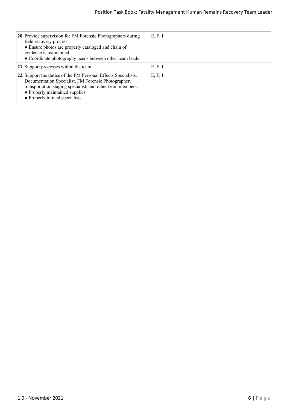| <b>20.</b> Provide supervision for FM Forensic Photographers during<br>field recovery process:<br>• Ensure photos are properly cataloged and chain of<br>evidence is maintained<br>• Coordinate photography needs between other team leads              | E, F, I |  |
|---------------------------------------------------------------------------------------------------------------------------------------------------------------------------------------------------------------------------------------------------------|---------|--|
| 21. Support processes within the team.                                                                                                                                                                                                                  | E, F, I |  |
| 22. Support the duties of the FM Personal Effects Specialists,<br>Documentation Specialist, FM Forensic Photographer,<br>transportation staging specialist, and other team members:<br>• Properly maintained supplies<br>• Properly trained specialists | E, F, I |  |